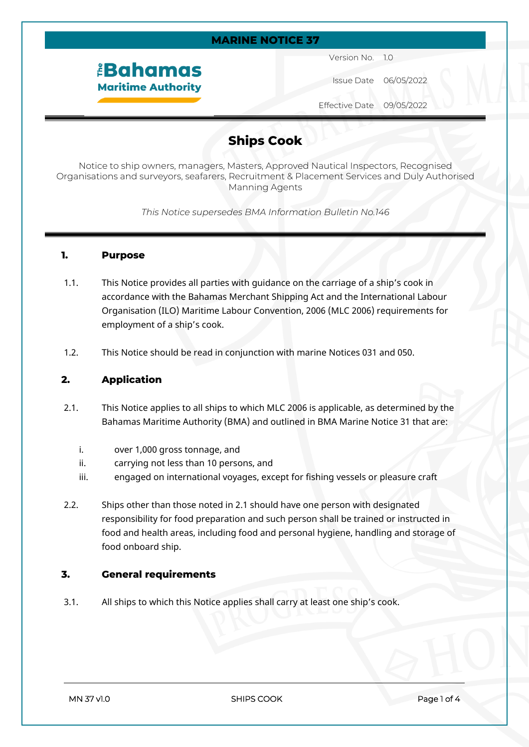#### **MARINE NOTICE 37**

# *<u><b>EBahamas</u>* **Maritime Authority**

Version No. 1.0

Issue Date 06/05/2022

Effective Date 09/05/2022

### **Ships Cook**

Notice to ship owners, managers, Masters, Approved Nautical Inspectors, Recognised Organisations and surveyors, seafarers, Recruitment & Placement Services and Duly Authorised Manning Agents

*This Notice supersedes BMA Information Bulletin No.146*

#### **1. Purpose**

- 1.1. This Notice provides all parties with guidance on the carriage of a ship's cook in accordance with the Bahamas Merchant Shipping Act and the International Labour Organisation (ILO) Maritime Labour Convention, 2006 (MLC 2006) requirements for employment of a ship's cook.
- 1.2. This Notice should be read in conjunction with marine Notices 031 and 050.

#### **2. Application**

- 2.1. This Notice applies to all ships to which MLC 2006 is applicable, as determined by the Bahamas Maritime Authority (BMA) and outlined in BMA Marine Notice 31 that are:
	- i. over 1,000 gross tonnage, and
	- ii. carrying not less than 10 persons, and
	- iii. engaged on international voyages, except for fishing vessels or pleasure craft
- 2.2. Ships other than those noted in 2.1 should have one person with designated responsibility for food preparation and such person shall be trained or instructed in food and health areas, including food and personal hygiene, handling and storage of food onboard ship.

#### **3. General requirements**

3.1. All ships to which this Notice applies shall carry at least one ship's cook.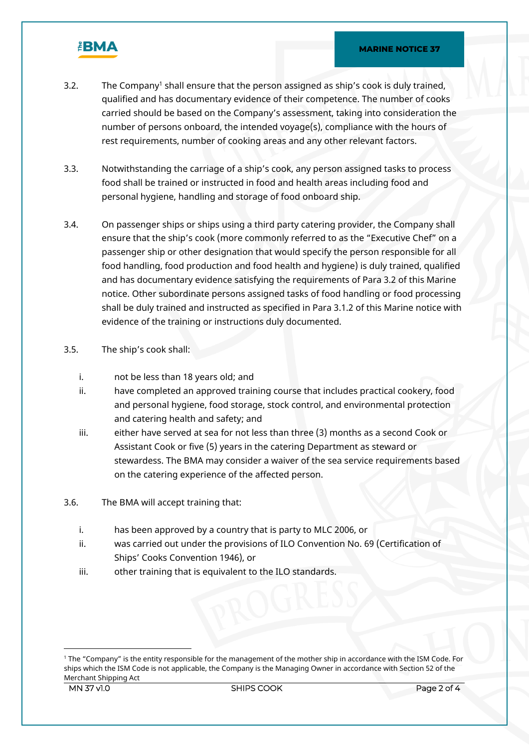

- 3.2. The Company<sup>1</sup> shall ensure that the person assigned as ship's cook is duly trained, qualified and has documentary evidence of their competence. The number of cooks carried should be based on the Company's assessment, taking into consideration the number of persons onboard, the intended voyage(s), compliance with the hours of rest requirements, number of cooking areas and any other relevant factors.
- 3.3. Notwithstanding the carriage of a ship's cook, any person assigned tasks to process food shall be trained or instructed in food and health areas including food and personal hygiene, handling and storage of food onboard ship.
- 3.4. On passenger ships or ships using a third party catering provider, the Company shall ensure that the ship's cook (more commonly referred to as the "Executive Chef" on a passenger ship or other designation that would specify the person responsible for all food handling, food production and food health and hygiene) is duly trained, qualified and has documentary evidence satisfying the requirements of Para 3.2 of this Marine notice. Other subordinate persons assigned tasks of food handling or food processing shall be duly trained and instructed as specified in Para 3.1.2 of this Marine notice with evidence of the training or instructions duly documented.
- 3.5. The ship's cook shall:
	- i. not be less than 18 years old; and
	- ii. have completed an approved training course that includes practical cookery, food and personal hygiene, food storage, stock control, and environmental protection and catering health and safety; and
	- iii. either have served at sea for not less than three (3) months as a second Cook or Assistant Cook or five (5) years in the catering Department as steward or stewardess. The BMA may consider a waiver of the sea service requirements based on the catering experience of the affected person.
- 3.6. The BMA will accept training that:
	- i. has been approved by a country that is party to MLC 2006, or
	- ii. was carried out under the provisions of ILO Convention No. 69 (Certification of Ships' Cooks Convention 1946), or
	- iii. other training that is equivalent to the ILO standards.

**MN 37 v1.0** SHIPS COOK Page 2 of 4 1 The "Company" is the entity responsible for the management of the mother ship in accordance with the ISM Code. For ships which the ISM Code is not applicable, the Company is the Managing Owner in accordance with Section 52 of the Merchant Shipping Act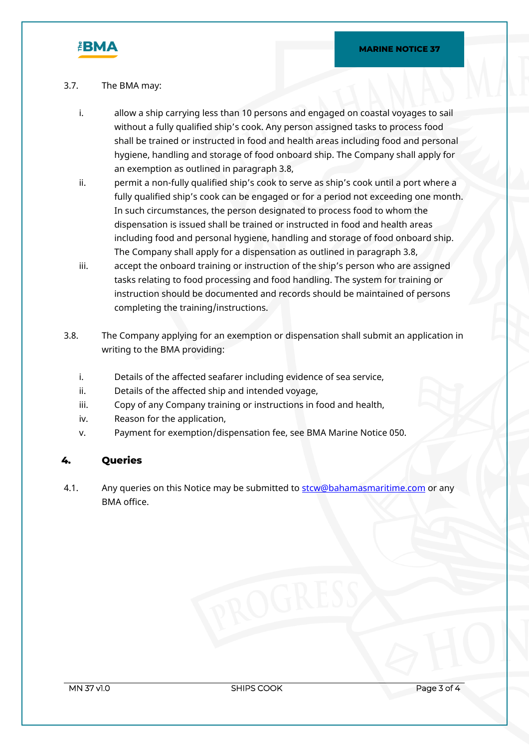

#### 3.7. The BMA may:

- i. allow a ship carrying less than 10 persons and engaged on coastal voyages to sail without a fully qualified ship's cook. Any person assigned tasks to process food shall be trained or instructed in food and health areas including food and personal hygiene, handling and storage of food onboard ship. The Company shall apply for an exemption as outlined in paragraph 3.8,
- ii. permit a non-fully qualified ship's cook to serve as ship's cook until a port where a fully qualified ship's cook can be engaged or for a period not exceeding one month. In such circumstances, the person designated to process food to whom the dispensation is issued shall be trained or instructed in food and health areas including food and personal hygiene, handling and storage of food onboard ship. The Company shall apply for a dispensation as outlined in paragraph 3.8,
- iii. accept the onboard training or instruction of the ship's person who are assigned tasks relating to food processing and food handling. The system for training or instruction should be documented and records should be maintained of persons completing the training/instructions.
- 3.8. The Company applying for an exemption or dispensation shall submit an application in writing to the BMA providing:
	- i. Details of the affected seafarer including evidence of sea service,
	- ii. Details of the affected ship and intended voyage,
	- iii. Copy of any Company training or instructions in food and health,
	- iv. Reason for the application,
	- v. Payment for exemption/dispensation fee, see BMA Marine Notice 050.

### **4. Queries**

4.1. Any queries on this Notice may be submitted to stow@bahamasmaritime.com or any BMA office.